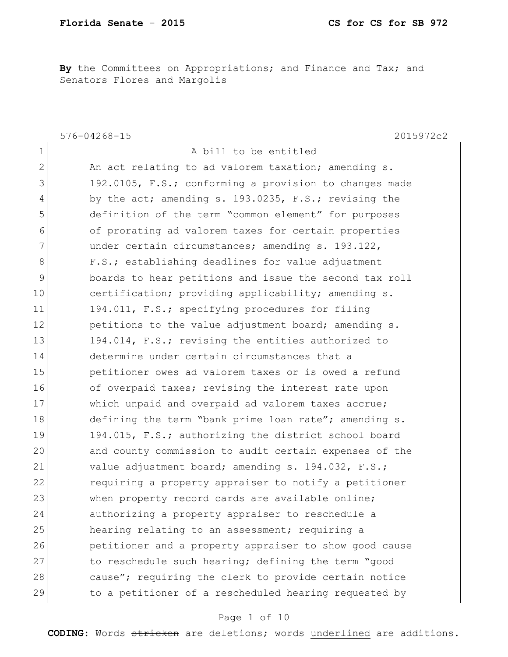By the Committees on Appropriations; and Finance and Tax; and Senators Flores and Margolis

|                | $576 - 04268 - 15$<br>2015972c2                        |
|----------------|--------------------------------------------------------|
| $\mathbf 1$    | A bill to be entitled                                  |
| $\overline{2}$ | An act relating to ad valorem taxation; amending s.    |
| 3              | 192.0105, F.S.; conforming a provision to changes made |
| 4              | by the act; amending s. 193.0235, F.S.; revising the   |
| 5              | definition of the term "common element" for purposes   |
| 6              | of prorating ad valorem taxes for certain properties   |
| 7              | under certain circumstances; amending s. 193.122,      |
| $8\,$          | F.S.; establishing deadlines for value adjustment      |
| 9              | boards to hear petitions and issue the second tax roll |
| 10             | certification; providing applicability; amending s.    |
| 11             | 194.011, F.S.; specifying procedures for filing        |
| 12             | petitions to the value adjustment board; amending s.   |
| 13             | 194.014, F.S.; revising the entities authorized to     |
| 14             | determine under certain circumstances that a           |
| 15             | petitioner owes ad valorem taxes or is owed a refund   |
| 16             | of overpaid taxes; revising the interest rate upon     |
| 17             | which unpaid and overpaid ad valorem taxes accrue;     |
| 18             | defining the term "bank prime loan rate"; amending s.  |
| 19             | 194.015, F.S.; authorizing the district school board   |
| 20             | and county commission to audit certain expenses of the |
| 21             | value adjustment board; amending s. 194.032, F.S.;     |
| 22             | requiring a property appraiser to notify a petitioner  |
| 23             | when property record cards are available online;       |
| 24             | authorizing a property appraiser to reschedule a       |
| 25             | hearing relating to an assessment; requiring a         |
| 26             | petitioner and a property appraiser to show good cause |
| 27             | to reschedule such hearing; defining the term "good    |
| 28             | cause"; requiring the clerk to provide certain notice  |
| 29             | to a petitioner of a rescheduled hearing requested by  |

### Page 1 of 10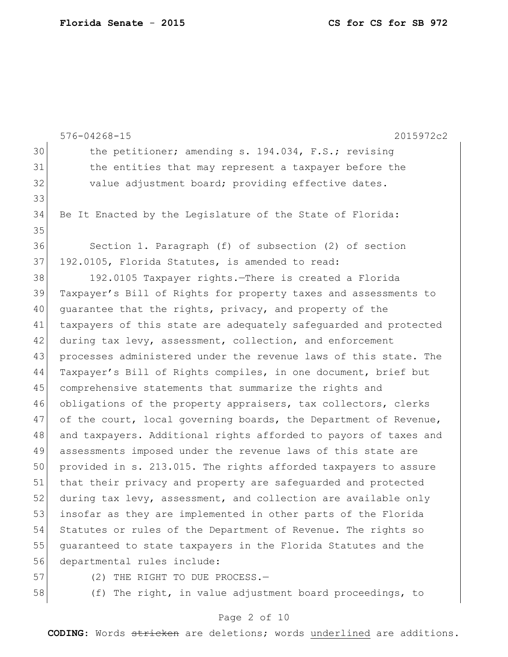|    | $576 - 04268 - 15$<br>2015972c2                                  |
|----|------------------------------------------------------------------|
| 30 | the petitioner; amending s. 194.034, F.S.; revising              |
| 31 | the entities that may represent a taxpayer before the            |
| 32 | value adjustment board; providing effective dates.               |
| 33 |                                                                  |
| 34 | Be It Enacted by the Legislature of the State of Florida:        |
| 35 |                                                                  |
| 36 | Section 1. Paragraph (f) of subsection (2) of section            |
| 37 | 192.0105, Florida Statutes, is amended to read:                  |
| 38 | 192.0105 Taxpayer rights. There is created a Florida             |
| 39 | Taxpayer's Bill of Rights for property taxes and assessments to  |
| 40 | quarantee that the rights, privacy, and property of the          |
| 41 | taxpayers of this state are adequately safequarded and protected |
| 42 | during tax levy, assessment, collection, and enforcement         |
| 43 | processes administered under the revenue laws of this state. The |
| 44 | Taxpayer's Bill of Rights compiles, in one document, brief but   |
| 45 | comprehensive statements that summarize the rights and           |
| 46 | obligations of the property appraisers, tax collectors, clerks   |
| 47 | of the court, local governing boards, the Department of Revenue, |
| 48 | and taxpayers. Additional rights afforded to payors of taxes and |
| 49 | assessments imposed under the revenue laws of this state are     |
| 50 | provided in s. 213.015. The rights afforded taxpayers to assure  |
| 51 | that their privacy and property are safeguarded and protected    |
| 52 | during tax levy, assessment, and collection are available only   |
| 53 | insofar as they are implemented in other parts of the Florida    |
| 54 | Statutes or rules of the Department of Revenue. The rights so    |
| 55 | quaranteed to state taxpayers in the Florida Statutes and the    |
| 56 | departmental rules include:                                      |
| 57 | (2)<br>THE RIGHT TO DUE PROCESS.-                                |

58 (f) The right, in value adjustment board proceedings, to

### Page 2 of 10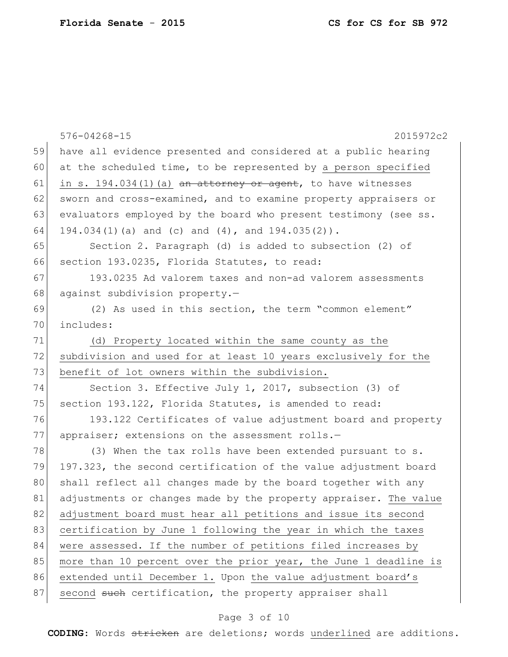|    | $576 - 04268 - 15$<br>2015972c2                                  |
|----|------------------------------------------------------------------|
| 59 | have all evidence presented and considered at a public hearing   |
| 60 | at the scheduled time, to be represented by a person specified   |
| 61 | in s. $194.034(1)$ (a) an attorney or agent, to have witnesses   |
| 62 | sworn and cross-examined, and to examine property appraisers or  |
| 63 | evaluators employed by the board who present testimony (see ss.  |
| 64 | 194.034(1)(a) and (c) and (4), and 194.035(2)).                  |
| 65 | Section 2. Paragraph (d) is added to subsection (2) of           |
| 66 | section 193.0235, Florida Statutes, to read:                     |
| 67 | 193.0235 Ad valorem taxes and non-ad valorem assessments         |
| 68 | against subdivision property.-                                   |
| 69 | (2) As used in this section, the term "common element"           |
| 70 | includes:                                                        |
| 71 | (d) Property located within the same county as the               |
| 72 | subdivision and used for at least 10 years exclusively for the   |
| 73 | benefit of lot owners within the subdivision.                    |
| 74 | Section 3. Effective July 1, 2017, subsection (3) of             |
| 75 | section 193.122, Florida Statutes, is amended to read:           |
| 76 | 193.122 Certificates of value adjustment board and property      |
| 77 | appraiser; extensions on the assessment rolls.-                  |
| 78 | (3) When the tax rolls have been extended pursuant to s.         |
| 79 | 197.323, the second certification of the value adjustment board  |
| 80 | shall reflect all changes made by the board together with any    |
| 81 | adjustments or changes made by the property appraiser. The value |
| 82 | adjustment board must hear all petitions and issue its second    |
| 83 | certification by June 1 following the year in which the taxes    |
| 84 | were assessed. If the number of petitions filed increases by     |
| 85 | more than 10 percent over the prior year, the June 1 deadline is |
| 86 | extended until December 1. Upon the value adjustment board's     |
| 87 | second such certification, the property appraiser shall          |
|    |                                                                  |

# Page 3 of 10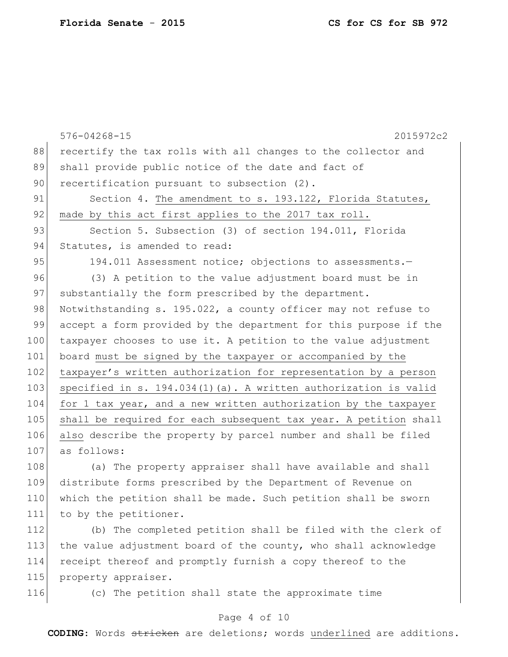|     | $576 - 04268 - 15$<br>2015972c2                                    |
|-----|--------------------------------------------------------------------|
| 88  | recertify the tax rolls with all changes to the collector and      |
| 89  | shall provide public notice of the date and fact of                |
| 90  | recertification pursuant to subsection (2).                        |
| 91  | Section 4. The amendment to s. 193.122, Florida Statutes,          |
| 92  | made by this act first applies to the 2017 tax roll.               |
| 93  | Section 5. Subsection (3) of section 194.011, Florida              |
| 94  | Statutes, is amended to read:                                      |
| 95  | 194.011 Assessment notice; objections to assessments.-             |
| 96  | (3) A petition to the value adjustment board must be in            |
| 97  | substantially the form prescribed by the department.               |
| 98  | Notwithstanding s. 195.022, a county officer may not refuse to     |
| 99  | accept a form provided by the department for this purpose if the   |
| 100 | taxpayer chooses to use it. A petition to the value adjustment     |
| 101 | board must be signed by the taxpayer or accompanied by the         |
| 102 | taxpayer's written authorization for representation by a person    |
| 103 | specified in s. $194.034(1)(a)$ . A written authorization is valid |
| 104 | for 1 tax year, and a new written authorization by the taxpayer    |
| 105 | shall be required for each subsequent tax year. A petition shall   |
| 106 | also describe the property by parcel number and shall be filed     |
| 107 | as follows:                                                        |
| 108 | (a) The property appraiser shall have available and shall          |

109 distribute forms prescribed by the Department of Revenue on 110 which the petition shall be made. Such petition shall be sworn 111 to by the petitioner.

112 (b) The completed petition shall be filed with the clerk of 113 the value adjustment board of the county, who shall acknowledge 114 receipt thereof and promptly furnish a copy thereof to the 115 property appraiser.

116 (c) The petition shall state the approximate time

### Page 4 of 10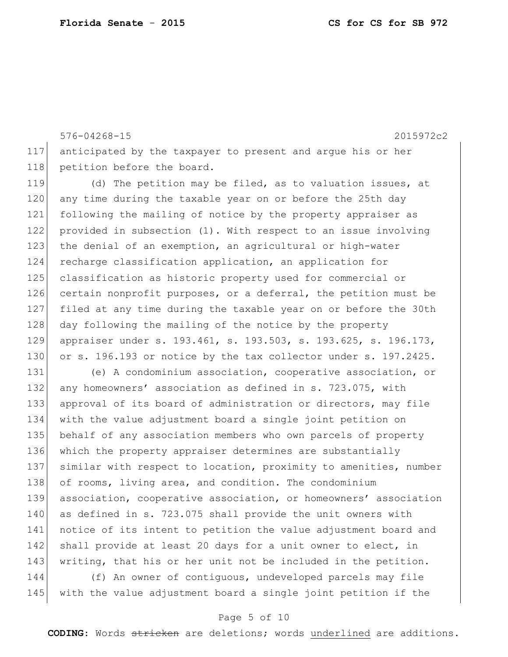576-04268-15 2015972c2 117 anticipated by the taxpayer to present and argue his or her 118 petition before the board.

119 (d) The petition may be filed, as to valuation issues, at 120 any time during the taxable year on or before the 25th day 121 following the mailing of notice by the property appraiser as 122 provided in subsection (1). With respect to an issue involving 123 the denial of an exemption, an agricultural or high-water 124 recharge classification application, an application for 125 classification as historic property used for commercial or 126 certain nonprofit purposes, or a deferral, the petition must be 127 filed at any time during the taxable year on or before the 30th 128 day following the mailing of the notice by the property 129 appraiser under s. 193.461, s. 193.503, s. 193.625, s. 196.173, 130 or s. 196.193 or notice by the tax collector under s. 197.2425.

131 (e) A condominium association, cooperative association, or 132 any homeowners' association as defined in s. 723.075, with 133 approval of its board of administration or directors, may file 134 with the value adjustment board a single joint petition on 135 behalf of any association members who own parcels of property 136 which the property appraiser determines are substantially 137 similar with respect to location, proximity to amenities, number 138 of rooms, living area, and condition. The condominium 139 association, cooperative association, or homeowners' association 140 as defined in s. 723.075 shall provide the unit owners with 141 notice of its intent to petition the value adjustment board and 142 shall provide at least 20 days for a unit owner to elect, in 143 writing, that his or her unit not be included in the petition.

144 (f) An owner of contiguous, undeveloped parcels may file 145 with the value adjustment board a single joint petition if the

#### Page 5 of 10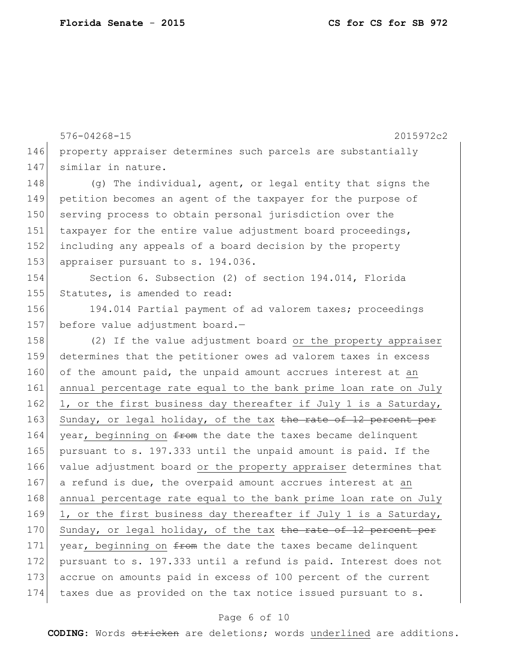576-04268-15 2015972c2 146 property appraiser determines such parcels are substantially 147 similar in nature. 148  $(q)$  The individual, agent, or legal entity that signs the 149 petition becomes an agent of the taxpayer for the purpose of 150 serving process to obtain personal jurisdiction over the 151 taxpayer for the entire value adjustment board proceedings, 152 including any appeals of a board decision by the property 153 appraiser pursuant to s. 194.036. 154 Section 6. Subsection (2) of section 194.014, Florida 155 Statutes, is amended to read: 156 194.014 Partial payment of ad valorem taxes; proceedings 157 before value adjustment board. $-$ 158 (2) If the value adjustment board or the property appraiser 159 determines that the petitioner owes ad valorem taxes in excess 160 of the amount paid, the unpaid amount accrues interest at an 161 annual percentage rate equal to the bank prime loan rate on July 162 1, or the first business day thereafter if July 1 is a Saturday, 163 Sunday, or legal holiday, of the tax the rate of 12 percent per 164 year, beginning on  $f$ rom the date the taxes became delinquent 165 pursuant to s. 197.333 until the unpaid amount is paid. If the 166 value adjustment board or the property appraiser determines that 167 a refund is due, the overpaid amount accrues interest at an 168 annual percentage rate equal to the bank prime loan rate on July 169 1, or the first business day thereafter if July 1 is a Saturday, 170 Sunday, or legal holiday, of the tax the rate of 12 percent per 171 year, beginning on  $f$  and the date the taxes became delinquent 172 pursuant to s. 197.333 until a refund is paid. Interest does not 173 accrue on amounts paid in excess of 100 percent of the current 174 taxes due as provided on the tax notice issued pursuant to s.

#### Page 6 of 10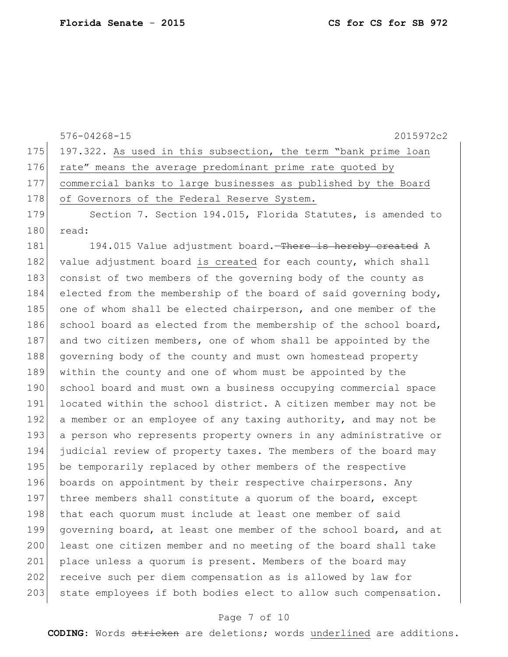|     | $576 - 04268 - 15$<br>2015972c2                                  |
|-----|------------------------------------------------------------------|
| 175 | 197.322. As used in this subsection, the term "bank prime loan   |
| 176 | rate" means the average predominant prime rate quoted by         |
| 177 | commercial banks to large businesses as published by the Board   |
| 178 | of Governors of the Federal Reserve System.                      |
| 179 | Section 7. Section 194.015, Florida Statutes, is amended to      |
| 180 | read:                                                            |
| 181 | 194.015 Value adjustment board. There is hereby created A        |
| 182 | value adjustment board is created for each county, which shall   |
| 183 | consist of two members of the governing body of the county as    |
| 184 | elected from the membership of the board of said governing body, |
| 185 | one of whom shall be elected chairperson, and one member of the  |
| 186 | school board as elected from the membership of the school board, |
| 187 | and two citizen members, one of whom shall be appointed by the   |
| 188 | governing body of the county and must own homestead property     |
| 189 | within the county and one of whom must be appointed by the       |
| 190 | school board and must own a business occupying commercial space  |
| 191 | located within the school district. A citizen member may not be  |
| 192 | a member or an employee of any taxing authority, and may not be  |
| 193 | a person who represents property owners in any administrative or |
| 194 | judicial review of property taxes. The members of the board may  |
| 195 | be temporarily replaced by other members of the respective       |
| 196 | boards on appointment by their respective chairpersons. Any      |
| 197 | three members shall constitute a quorum of the board, except     |
| 198 | that each quorum must include at least one member of said        |
| 199 | governing board, at least one member of the school board, and at |
| 200 | least one citizen member and no meeting of the board shall take  |
| 201 | place unless a quorum is present. Members of the board may       |
| 202 | receive such per diem compensation as is allowed by law for      |
| 203 | state employees if both bodies elect to allow such compensation. |

# Page 7 of 10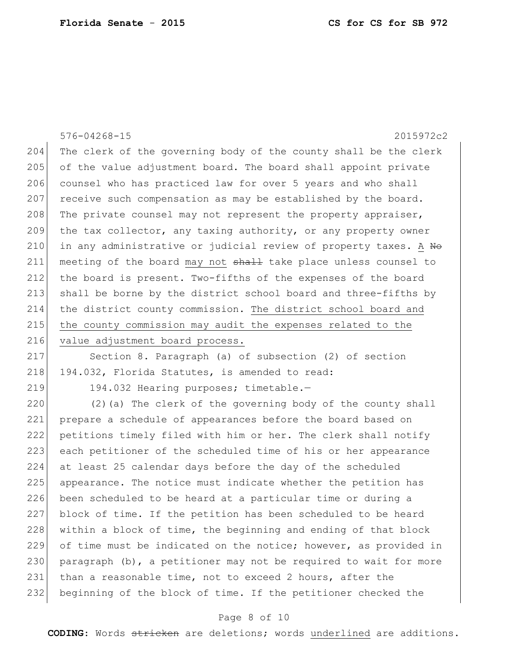|     | 2015972c2<br>$576 - 04268 - 15$                                  |
|-----|------------------------------------------------------------------|
| 204 | The clerk of the governing body of the county shall be the clerk |
| 205 | of the value adjustment board. The board shall appoint private   |
| 206 | counsel who has practiced law for over 5 years and who shall     |
| 207 | receive such compensation as may be established by the board.    |
| 208 | The private counsel may not represent the property appraiser,    |
| 209 | the tax collector, any taxing authority, or any property owner   |
| 210 | in any administrative or judicial review of property taxes. A Ho |
| 211 | meeting of the board may not shall take place unless counsel to  |
| 212 | the board is present. Two-fifths of the expenses of the board    |
| 213 | shall be borne by the district school board and three-fifths by  |
| 214 | the district county commission. The district school board and    |
| 215 | the county commission may audit the expenses related to the      |
| 216 | value adjustment board process.                                  |
| 217 | Section 8. Paragraph (a) of subsection (2) of section            |

218 194.032, Florida Statutes, is amended to read:

219 194.032 Hearing purposes; timetable.-

220 (2) (a) The clerk of the governing body of the county shall 221 prepare a schedule of appearances before the board based on petitions timely filed with him or her. The clerk shall notify 223 each petitioner of the scheduled time of his or her appearance at least 25 calendar days before the day of the scheduled 225 appearance. The notice must indicate whether the petition has 226 been scheduled to be heard at a particular time or during a block of time. If the petition has been scheduled to be heard within a block of time, the beginning and ending of that block of time must be indicated on the notice; however, as provided in 230 paragraph (b), a petitioner may not be required to wait for more 231 than a reasonable time, not to exceed 2 hours, after the beginning of the block of time. If the petitioner checked the

#### Page 8 of 10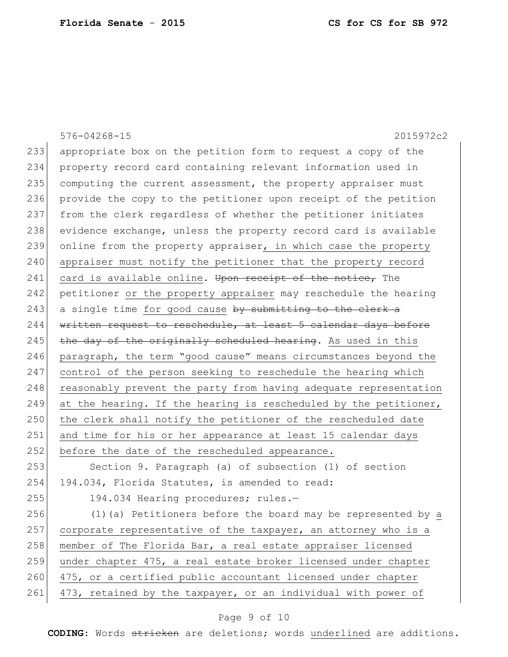|     | $576 - 04268 - 15$<br>2015972c2                                  |
|-----|------------------------------------------------------------------|
| 233 | appropriate box on the petition form to request a copy of the    |
| 234 | property record card containing relevant information used in     |
| 235 | computing the current assessment, the property appraiser must    |
| 236 | provide the copy to the petitioner upon receipt of the petition  |
| 237 | from the clerk regardless of whether the petitioner initiates    |
| 238 | evidence exchange, unless the property record card is available  |
| 239 | online from the property appraiser, in which case the property   |
| 240 | appraiser must notify the petitioner that the property record    |
| 241 | card is available online. Upon receipt of the notice, The        |
| 242 | petitioner or the property appraiser may reschedule the hearing  |
| 243 | a single time for good cause by submitting to the clerk a        |
| 244 | written request to reschedule, at least 5 calendar days before   |
| 245 | the day of the originally scheduled hearing. As used in this     |
| 246 | paragraph, the term "good cause" means circumstances beyond the  |
| 247 | control of the person seeking to reschedule the hearing which    |
| 248 | reasonably prevent the party from having adequate representation |
| 249 | at the hearing. If the hearing is rescheduled by the petitioner, |
| 250 | the clerk shall notify the petitioner of the rescheduled date    |
| 251 | and time for his or her appearance at least 15 calendar days     |
| 252 | before the date of the rescheduled appearance.                   |
| 253 | Section 9. Paragraph (a) of subsection (1) of section            |
| 254 | 194.034, Florida Statutes, is amended to read:                   |
| 255 | 194.034 Hearing procedures; rules.-                              |
| 256 | (1) (a) Petitioners before the board may be represented by a     |
| 257 | corporate representative of the taxpayer, an attorney who is a   |
| 258 | member of The Florida Bar, a real estate appraiser licensed      |
| 259 | under chapter 475, a real estate broker licensed under chapter   |
| 260 | 475, or a certified public accountant licensed under chapter     |
| 261 | 473, retained by the taxpayer, or an individual with power of    |

# Page 9 of 10